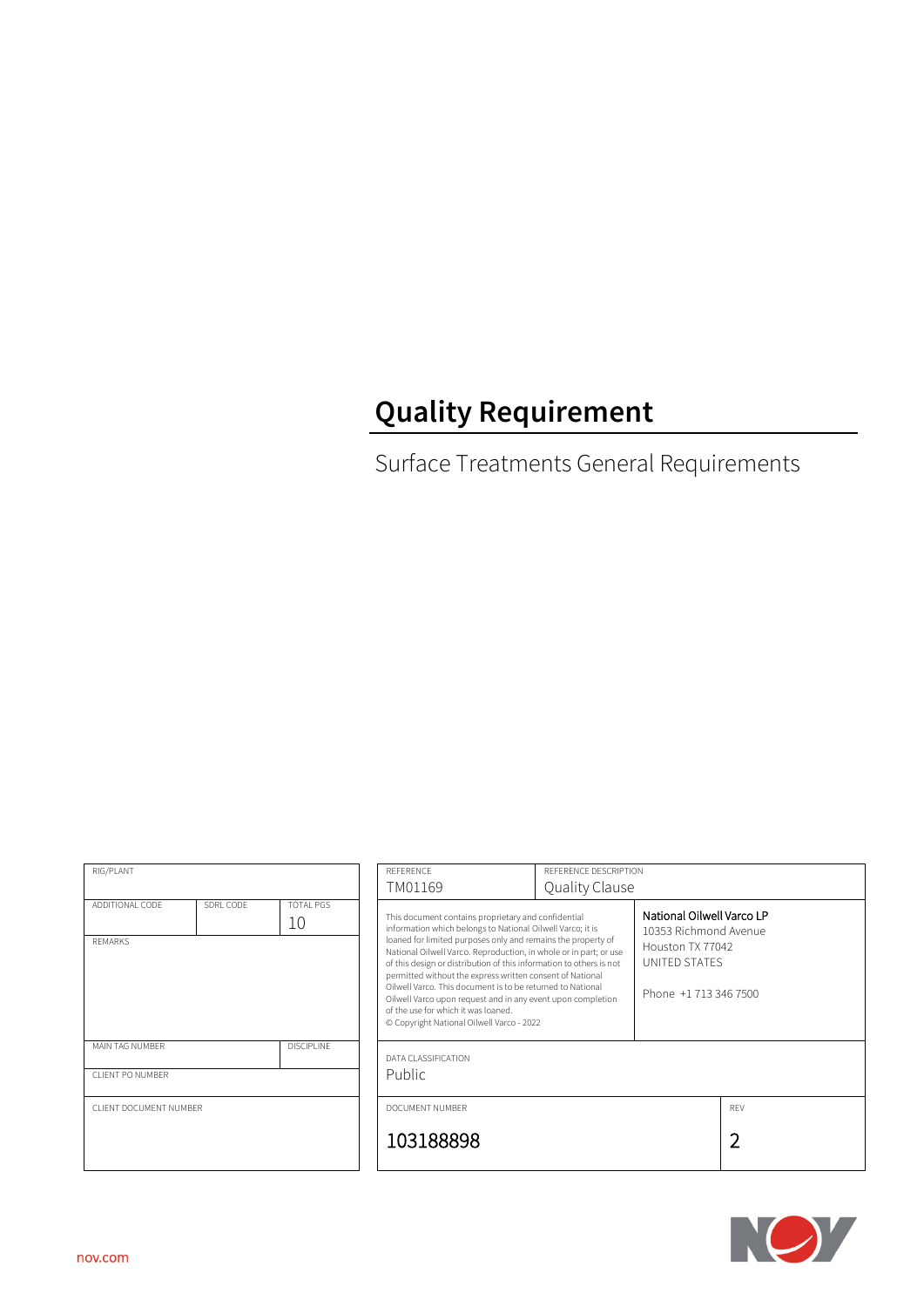# **Quality Requirement**

Surface Treatments General Requirements

| RIG/PLANT                                                                |  |                                     | REFERENCE                                                                                                                                                                                                                                                                                                                                                                                                                                                                                                                                                            |                | REFERENCE DESCRIPTION                                                                                            |            |
|--------------------------------------------------------------------------|--|-------------------------------------|----------------------------------------------------------------------------------------------------------------------------------------------------------------------------------------------------------------------------------------------------------------------------------------------------------------------------------------------------------------------------------------------------------------------------------------------------------------------------------------------------------------------------------------------------------------------|----------------|------------------------------------------------------------------------------------------------------------------|------------|
|                                                                          |  |                                     | TM01169                                                                                                                                                                                                                                                                                                                                                                                                                                                                                                                                                              | Quality Clause |                                                                                                                  |            |
| ADDITIONAL CODE<br>SDRL CODE<br><b>TOTAL PGS</b><br>10<br><b>REMARKS</b> |  | of the use for which it was loaned. | This document contains proprietary and confidential<br>information which belongs to National Oilwell Varco; it is<br>loaned for limited purposes only and remains the property of<br>National Oilwell Varco. Reproduction, in whole or in part; or use<br>of this design or distribution of this information to others is not<br>permitted without the express written consent of National<br>Oilwell Varco. This document is to be returned to National<br>Oilwell Varco upon request and in any event upon completion<br>© Copyright National Oilwell Varco - 2022 |                | National Oilwell Varco LP<br>10353 Richmond Avenue<br>Houston TX 77042<br>UNITED STATES<br>Phone +1 713 346 7500 |            |
| MAIN TAG NUMBER<br><b>DISCIPLINE</b>                                     |  | DATA CLASSIFICATION                 |                                                                                                                                                                                                                                                                                                                                                                                                                                                                                                                                                                      |                |                                                                                                                  |            |
| CLIENT PO NUMBER                                                         |  |                                     | <b>Public</b>                                                                                                                                                                                                                                                                                                                                                                                                                                                                                                                                                        |                |                                                                                                                  |            |
| CLIENT DOCUMENT NUMBER                                                   |  |                                     | DOCUMENT NUMBER                                                                                                                                                                                                                                                                                                                                                                                                                                                                                                                                                      |                |                                                                                                                  | <b>REV</b> |
|                                                                          |  |                                     | 103188898                                                                                                                                                                                                                                                                                                                                                                                                                                                                                                                                                            |                |                                                                                                                  | 2          |

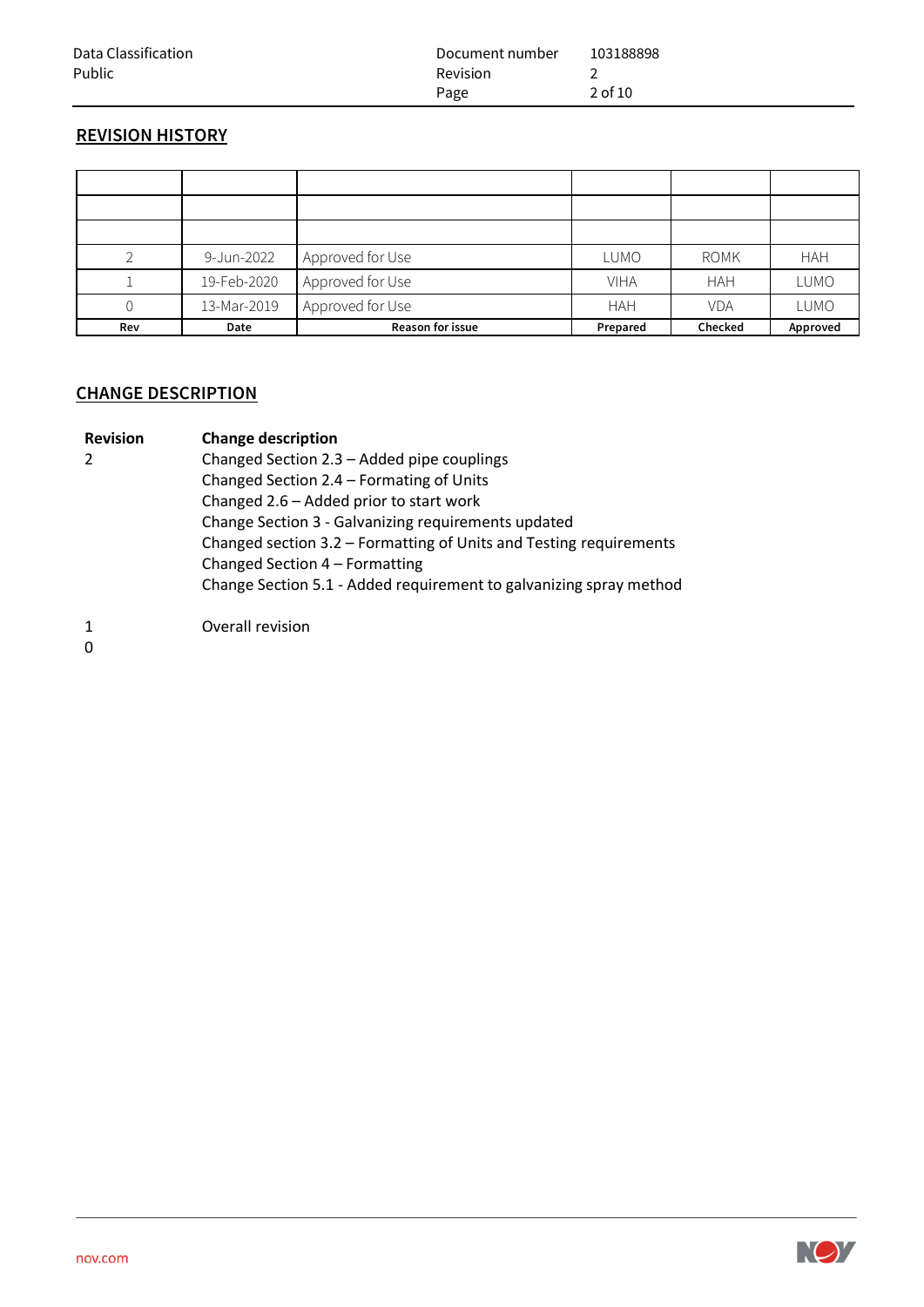| Data Classification | Document number | 103188898 |
|---------------------|-----------------|-----------|
| Public              | <b>Revision</b> |           |
|                     | Page            | 2 of 10   |

## **REVISION HISTORY**

|     | 9-Jun-2022  | Approved for Use        | LUMO        | <b>ROMK</b> | <b>HAH</b>  |
|-----|-------------|-------------------------|-------------|-------------|-------------|
|     | 19-Feb-2020 | Approved for Use        | <b>VIHA</b> | <b>HAH</b>  | LUMO        |
|     | 13-Mar-2019 | Approved for Use        | <b>HAH</b>  | <b>VDA</b>  | <b>LUMO</b> |
| Rev | Date        | <b>Reason for issue</b> | Prepared    | Checked     | Approved    |

# **CHANGE DESCRIPTION**

| <b>Revision</b> | <b>Change description</b>                                          |  |  |
|-----------------|--------------------------------------------------------------------|--|--|
|                 | Changed Section 2.3 - Added pipe couplings                         |  |  |
|                 | Changed Section 2.4 - Formating of Units                           |  |  |
|                 | Changed 2.6 - Added prior to start work                            |  |  |
|                 | Change Section 3 - Galvanizing requirements updated                |  |  |
|                 | Changed section 3.2 - Formatting of Units and Testing requirements |  |  |
|                 | Changed Section 4 - Formatting                                     |  |  |
|                 | Change Section 5.1 - Added requirement to galvanizing spray method |  |  |
|                 | Overall revision                                                   |  |  |

0

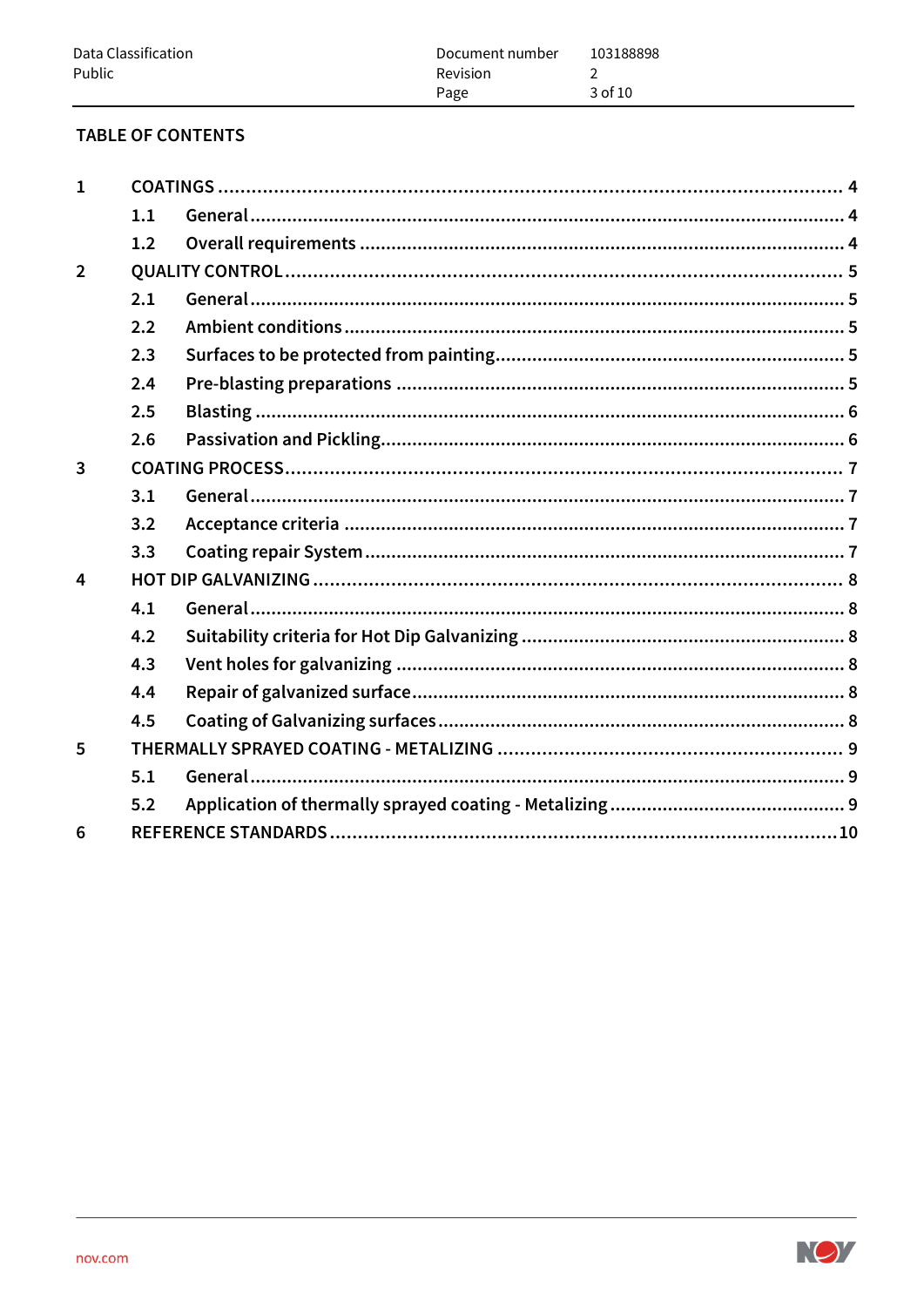## **TABLE OF CONTENTS**

| $\mathbf{1}$   |     |  |  |  |  |
|----------------|-----|--|--|--|--|
|                | 1.1 |  |  |  |  |
|                | 1.2 |  |  |  |  |
| $\overline{2}$ |     |  |  |  |  |
|                | 2.1 |  |  |  |  |
|                | 2.2 |  |  |  |  |
|                | 2.3 |  |  |  |  |
|                | 2.4 |  |  |  |  |
|                | 2.5 |  |  |  |  |
|                | 2.6 |  |  |  |  |
| $\overline{3}$ |     |  |  |  |  |
|                | 3.1 |  |  |  |  |
|                | 3.2 |  |  |  |  |
|                | 3.3 |  |  |  |  |
| 4              |     |  |  |  |  |
|                | 4.1 |  |  |  |  |
|                | 4.2 |  |  |  |  |
|                | 4.3 |  |  |  |  |
|                | 4.4 |  |  |  |  |
|                | 4.5 |  |  |  |  |
| 5              |     |  |  |  |  |
|                | 5.1 |  |  |  |  |
|                | 5.2 |  |  |  |  |
| 6              |     |  |  |  |  |
|                |     |  |  |  |  |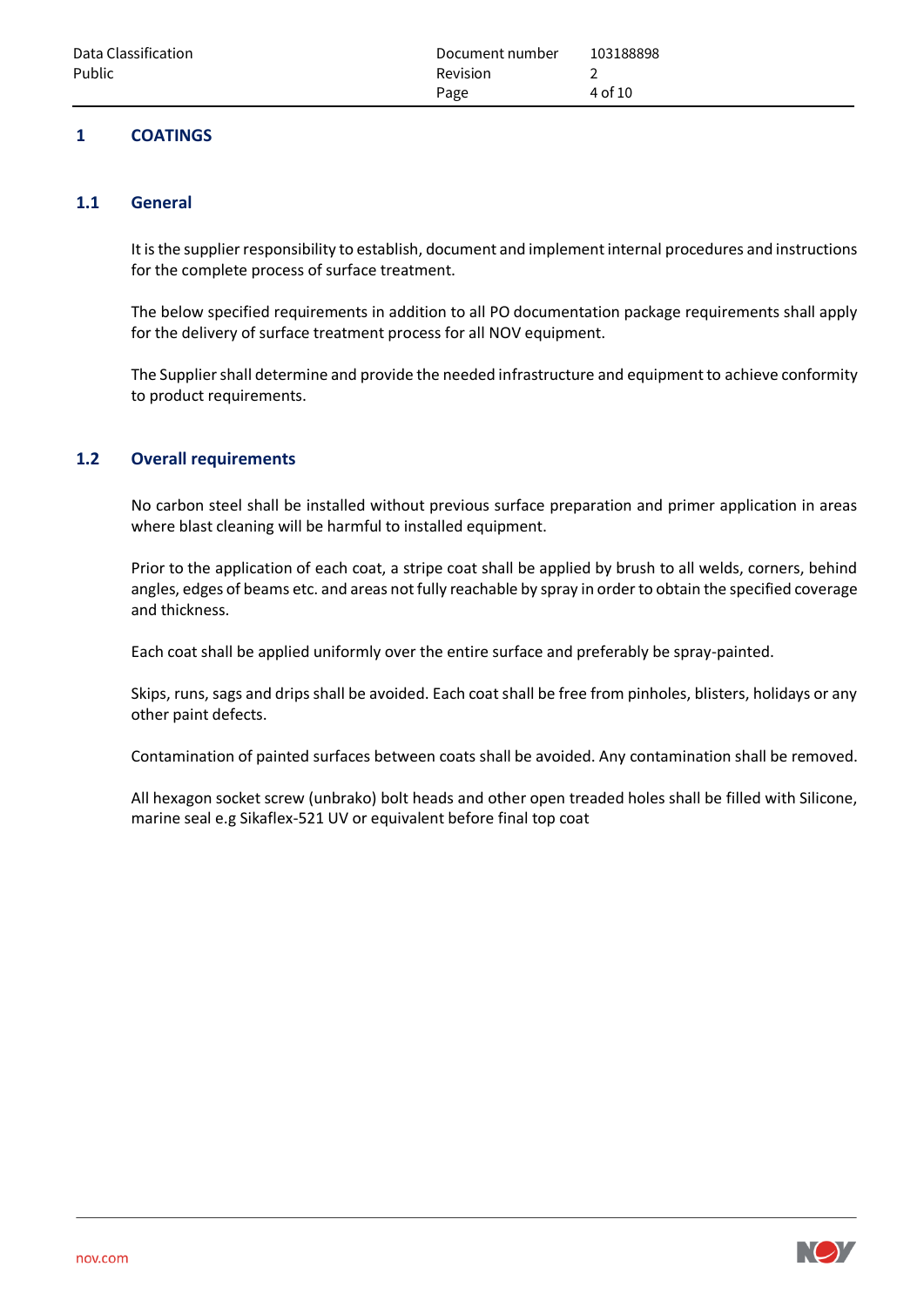# <span id="page-3-0"></span>**1 COATINGS**

## <span id="page-3-1"></span>**1.1 General**

It is the supplier responsibility to establish, document and implement internal procedures and instructions for the complete process of surface treatment.

The below specified requirements in addition to all PO documentation package requirements shall apply for the delivery of surface treatment process for all NOV equipment.

The Supplier shall determine and provide the needed infrastructure and equipment to achieve conformity to product requirements.

## <span id="page-3-2"></span>**1.2 Overall requirements**

No carbon steel shall be installed without previous surface preparation and primer application in areas where blast cleaning will be harmful to installed equipment.

Prior to the application of each coat, a stripe coat shall be applied by brush to all welds, corners, behind angles, edges of beams etc. and areas not fully reachable by spray in order to obtain the specified coverage and thickness.

Each coat shall be applied uniformly over the entire surface and preferably be spray-painted.

Skips, runs, sags and drips shall be avoided. Each coat shall be free from pinholes, blisters, holidays or any other paint defects.

Contamination of painted surfaces between coats shall be avoided. Any contamination shall be removed.

All hexagon socket screw (unbrako) bolt heads and other open treaded holes shall be filled with Silicone, marine seal e.g Sikaflex-521 UV or equivalent before final top coat

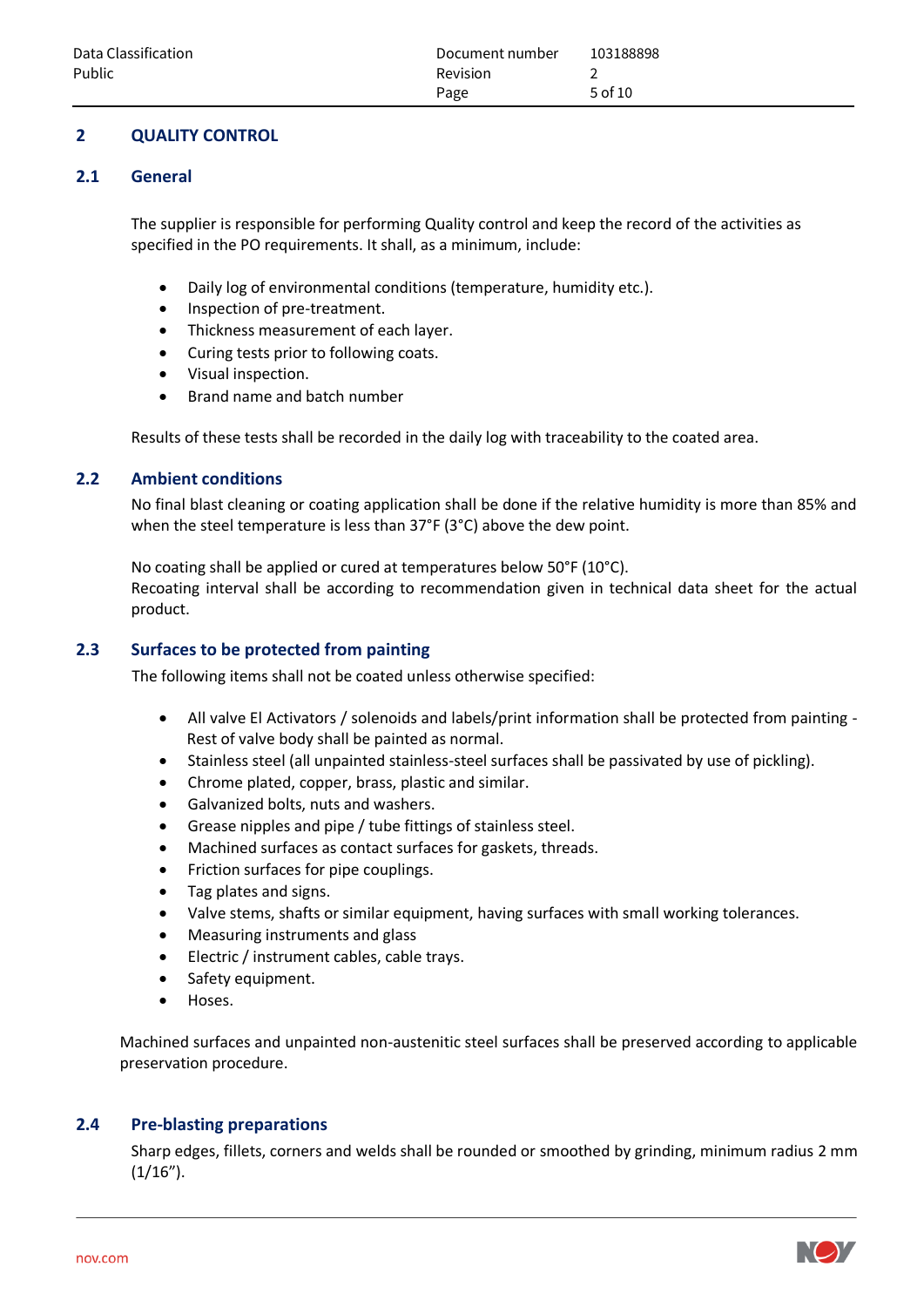# <span id="page-4-0"></span>**2 QUALITY CONTROL**

#### <span id="page-4-1"></span>**2.1 General**

The supplier is responsible for performing Quality control and keep the record of the activities as specified in the PO requirements. It shall, as a minimum, include:

- Daily log of environmental conditions (temperature, humidity etc.).
- Inspection of pre-treatment.
- Thickness measurement of each layer.
- Curing tests prior to following coats.
- Visual inspection.
- Brand name and batch number

Results of these tests shall be recorded in the daily log with traceability to the coated area.

#### <span id="page-4-2"></span>**2.2 Ambient conditions**

No final blast cleaning or coating application shall be done if the relative humidity is more than 85% and when the steel temperature is less than 37°F (3°C) above the dew point.

No coating shall be applied or cured at temperatures below 50°F (10°C). Recoating interval shall be according to recommendation given in technical data sheet for the actual product.

#### <span id="page-4-3"></span>**2.3 Surfaces to be protected from painting**

The following items shall not be coated unless otherwise specified:

- All valve El Activators / solenoids and labels/print information shall be protected from painting Rest of valve body shall be painted as normal.
- Stainless steel (all unpainted stainless-steel surfaces shall be passivated by use of pickling).
- Chrome plated, copper, brass, plastic and similar.
- Galvanized bolts, nuts and washers.
- Grease nipples and pipe / tube fittings of stainless steel.
- Machined surfaces as contact surfaces for gaskets, threads.
- Friction surfaces for pipe couplings.
- Tag plates and signs.
- Valve stems, shafts or similar equipment, having surfaces with small working tolerances.
- Measuring instruments and glass
- Electric / instrument cables, cable trays.
- Safety equipment.
- Hoses.

Machined surfaces and unpainted non-austenitic steel surfaces shall be preserved according to applicable preservation procedure.

## <span id="page-4-4"></span>**2.4 Pre-blasting preparations**

Sharp edges, fillets, corners and welds shall be rounded or smoothed by grinding, minimum radius 2 mm  $(1/16")$ .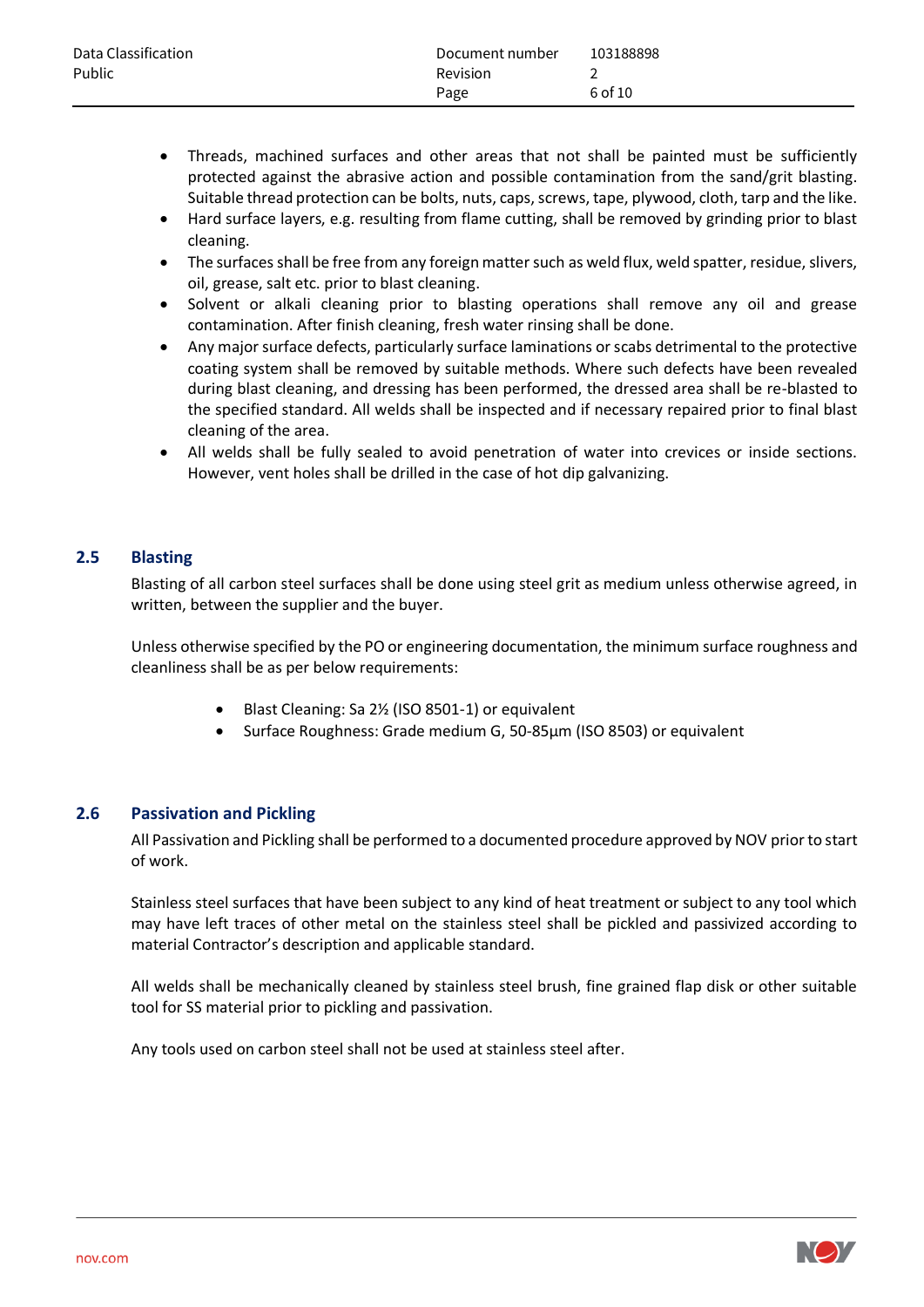| Data Classification | Document number | 103188898 |
|---------------------|-----------------|-----------|
| Public              | <b>Revision</b> |           |
|                     | Page            | 6 of 10   |

- Threads, machined surfaces and other areas that not shall be painted must be sufficiently protected against the abrasive action and possible contamination from the sand/grit blasting. Suitable thread protection can be bolts, nuts, caps, screws, tape, plywood, cloth, tarp and the like.
- Hard surface layers, e.g. resulting from flame cutting, shall be removed by grinding prior to blast cleaning.
- The surfaces shall be free from any foreign matter such as weld flux, weld spatter, residue, slivers, oil, grease, salt etc. prior to blast cleaning.
- Solvent or alkali cleaning prior to blasting operations shall remove any oil and grease contamination. After finish cleaning, fresh water rinsing shall be done.
- Any major surface defects, particularly surface laminations or scabs detrimental to the protective coating system shall be removed by suitable methods. Where such defects have been revealed during blast cleaning, and dressing has been performed, the dressed area shall be re-blasted to the specified standard. All welds shall be inspected and if necessary repaired prior to final blast cleaning of the area.
- All welds shall be fully sealed to avoid penetration of water into crevices or inside sections. However, vent holes shall be drilled in the case of hot dip galvanizing.

## <span id="page-5-0"></span>**2.5 Blasting**

Blasting of all carbon steel surfaces shall be done using steel grit as medium unless otherwise agreed, in written, between the supplier and the buyer.

Unless otherwise specified by the PO or engineering documentation, the minimum surface roughness and cleanliness shall be as per below requirements:

- Blast Cleaning: Sa 2% (ISO 8501-1) or equivalent
- Surface Roughness: Grade medium G, 50-85μm (ISO 8503) or equivalent

#### <span id="page-5-1"></span>**2.6 Passivation and Pickling**

All Passivation and Pickling shall be performed to a documented procedure approved by NOV prior to start of work.

Stainless steel surfaces that have been subject to any kind of heat treatment or subject to any tool which may have left traces of other metal on the stainless steel shall be pickled and passivized according to material Contractor's description and applicable standard.

All welds shall be mechanically cleaned by stainless steel brush, fine grained flap disk or other suitable tool for SS material prior to pickling and passivation.

Any tools used on carbon steel shall not be used at stainless steel after.

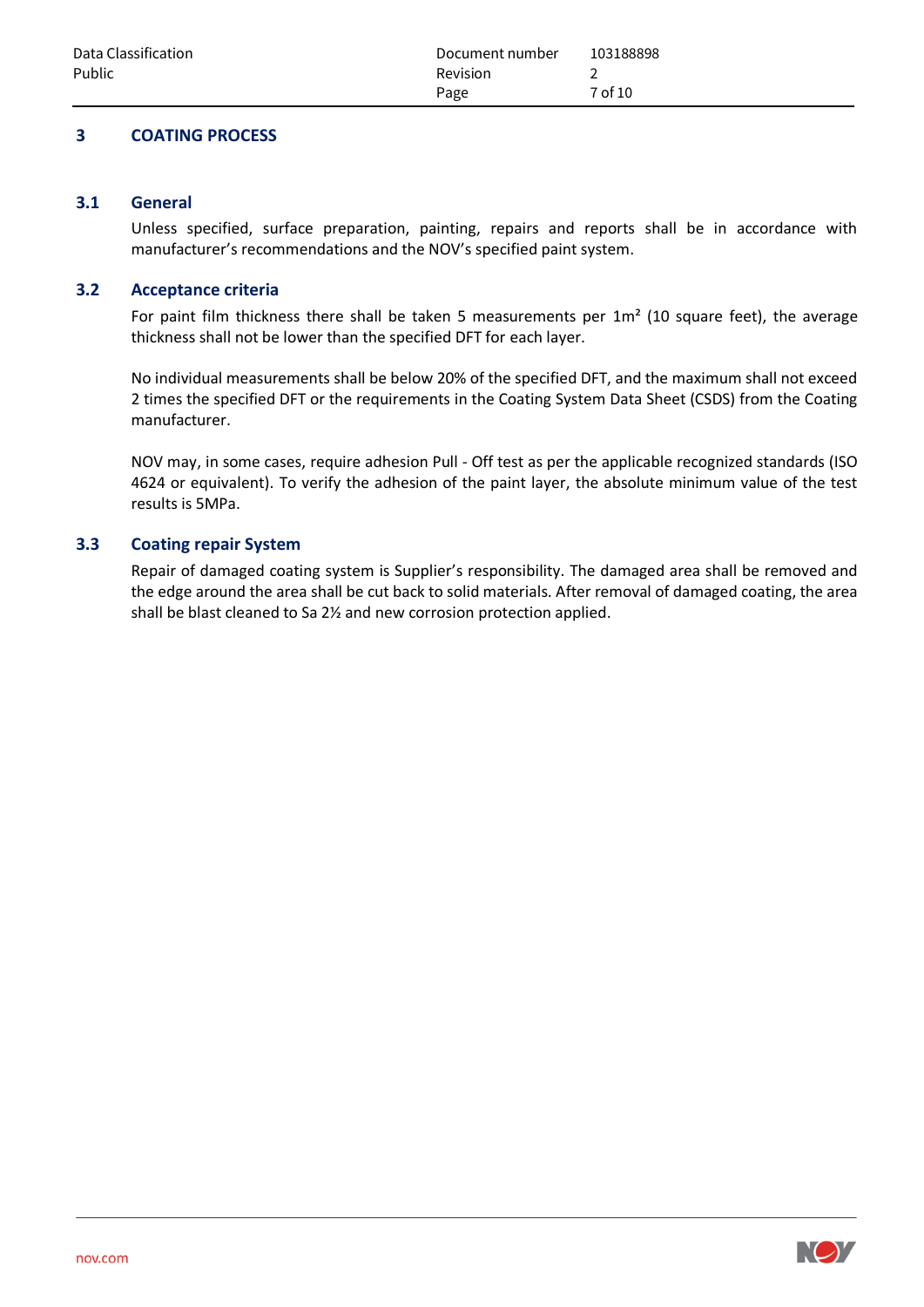## <span id="page-6-0"></span>**3 COATING PROCESS**

#### <span id="page-6-1"></span>**3.1 General**

Unless specified, surface preparation, painting, repairs and reports shall be in accordance with manufacturer's recommendations and the NOV's specified paint system.

#### <span id="page-6-2"></span>**3.2 Acceptance criteria**

For paint film thickness there shall be taken 5 measurements per  $1m<sup>2</sup>$  (10 square feet), the average thickness shall not be lower than the specified DFT for each layer.

No individual measurements shall be below 20% of the specified DFT, and the maximum shall not exceed 2 times the specified DFT or the requirements in the Coating System Data Sheet (CSDS) from the Coating manufacturer.

NOV may, in some cases, require adhesion Pull - Off test as per the applicable recognized standards (ISO 4624 or equivalent). To verify the adhesion of the paint layer, the absolute minimum value of the test results is 5MPa.

#### <span id="page-6-3"></span>**3.3 Coating repair System**

Repair of damaged coating system is Supplier's responsibility. The damaged area shall be removed and the edge around the area shall be cut back to solid materials. After removal of damaged coating, the area shall be blast cleaned to Sa 2½ and new corrosion protection applied.

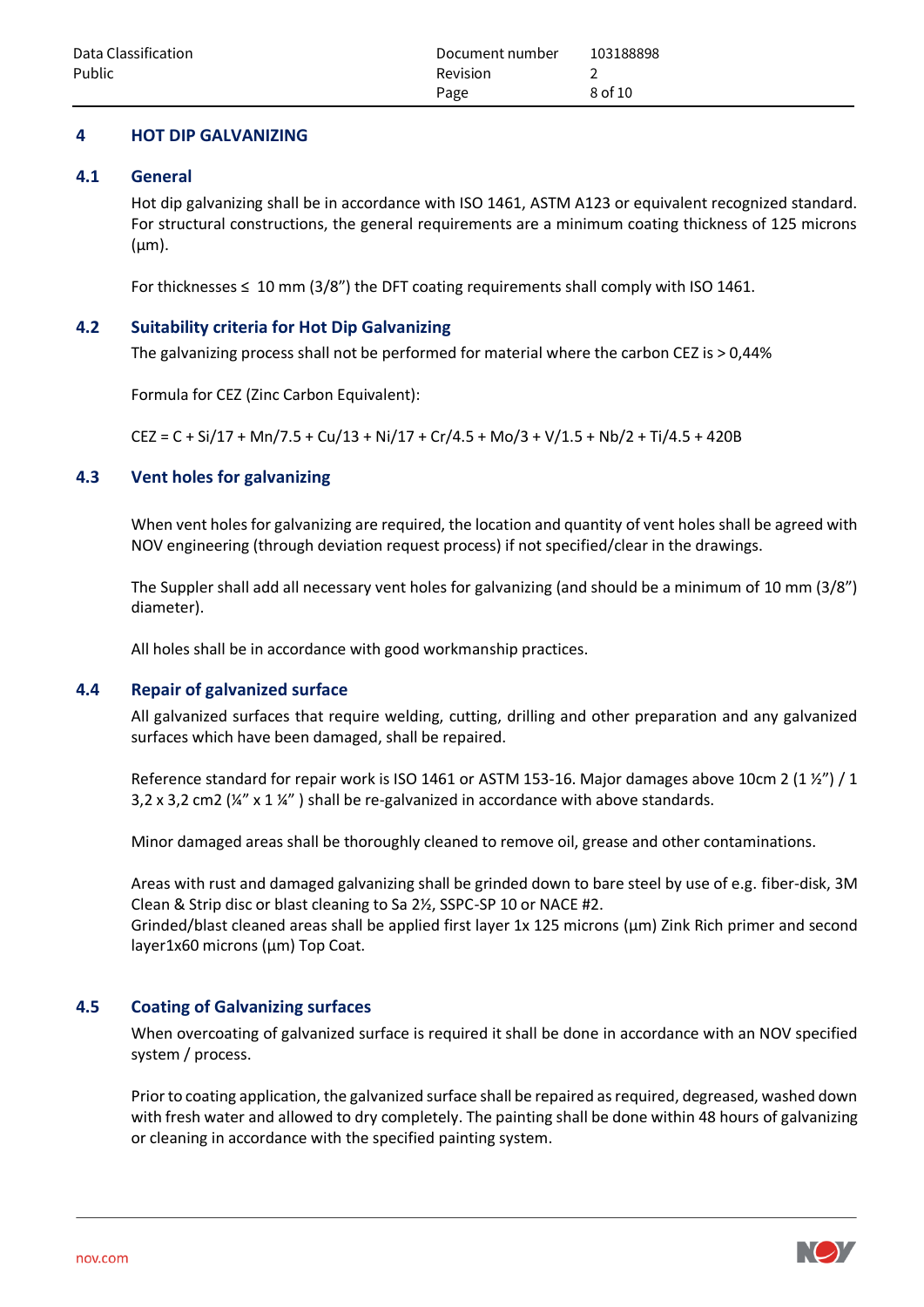## <span id="page-7-0"></span>**4 HOT DIP GALVANIZING**

#### <span id="page-7-1"></span>**4.1 General**

Hot dip galvanizing shall be in accordance with ISO 1461, ASTM A123 or equivalent recognized standard. For structural constructions, the general requirements are a minimum coating thickness of 125 microns  $(\mu m)$ .

For thicknesses  $\leq 10$  mm (3/8") the DFT coating requirements shall comply with ISO 1461.

#### <span id="page-7-2"></span>**4.2 Suitability criteria for Hot Dip Galvanizing**

The galvanizing process shall not be performed for material where the carbon CEZ is > 0,44%

Formula for CEZ (Zinc Carbon Equivalent):

 $CEZ = C + Si/17 + Mn/7.5 + Cu/13 + Ni/17 + Cr/4.5 + Mo/3 + V/1.5 + Nb/2 + Ti/4.5 + 420B$ 

## <span id="page-7-3"></span>**4.3 Vent holes for galvanizing**

When vent holes for galvanizing are required, the location and quantity of vent holes shall be agreed with NOV engineering (through deviation request process) if not specified/clear in the drawings.

The Suppler shall add all necessary vent holes for galvanizing (and should be a minimum of 10 mm (3/8") diameter).

All holes shall be in accordance with good workmanship practices.

## <span id="page-7-4"></span>**4.4 Repair of galvanized surface**

All galvanized surfaces that require welding, cutting, drilling and other preparation and any galvanized surfaces which have been damaged, shall be repaired.

Reference standard for repair work is ISO 1461 or ASTM 153-16. Major damages above 10cm 2 (1  $\frac{1}{2}$ ) / 1 3,2 x 3,2 cm2 ( $\frac{1}{4}$ " x 1  $\frac{1}{4}$ ") shall be re-galvanized in accordance with above standards.

Minor damaged areas shall be thoroughly cleaned to remove oil, grease and other contaminations.

Areas with rust and damaged galvanizing shall be grinded down to bare steel by use of e.g. fiber-disk, 3M Clean & Strip disc or blast cleaning to Sa 2½, SSPC-SP 10 or NACE #2.

Grinded/blast cleaned areas shall be applied first layer 1x 125 microns (µm) Zink Rich primer and second layer1x60 microns (µm) Top Coat.

## <span id="page-7-5"></span>**4.5 Coating of Galvanizing surfaces**

When overcoating of galvanized surface is required it shall be done in accordance with an NOV specified system / process.

Prior to coating application, the galvanized surface shall be repaired as required, degreased, washed down with fresh water and allowed to dry completely. The painting shall be done within 48 hours of galvanizing or cleaning in accordance with the specified painting system.

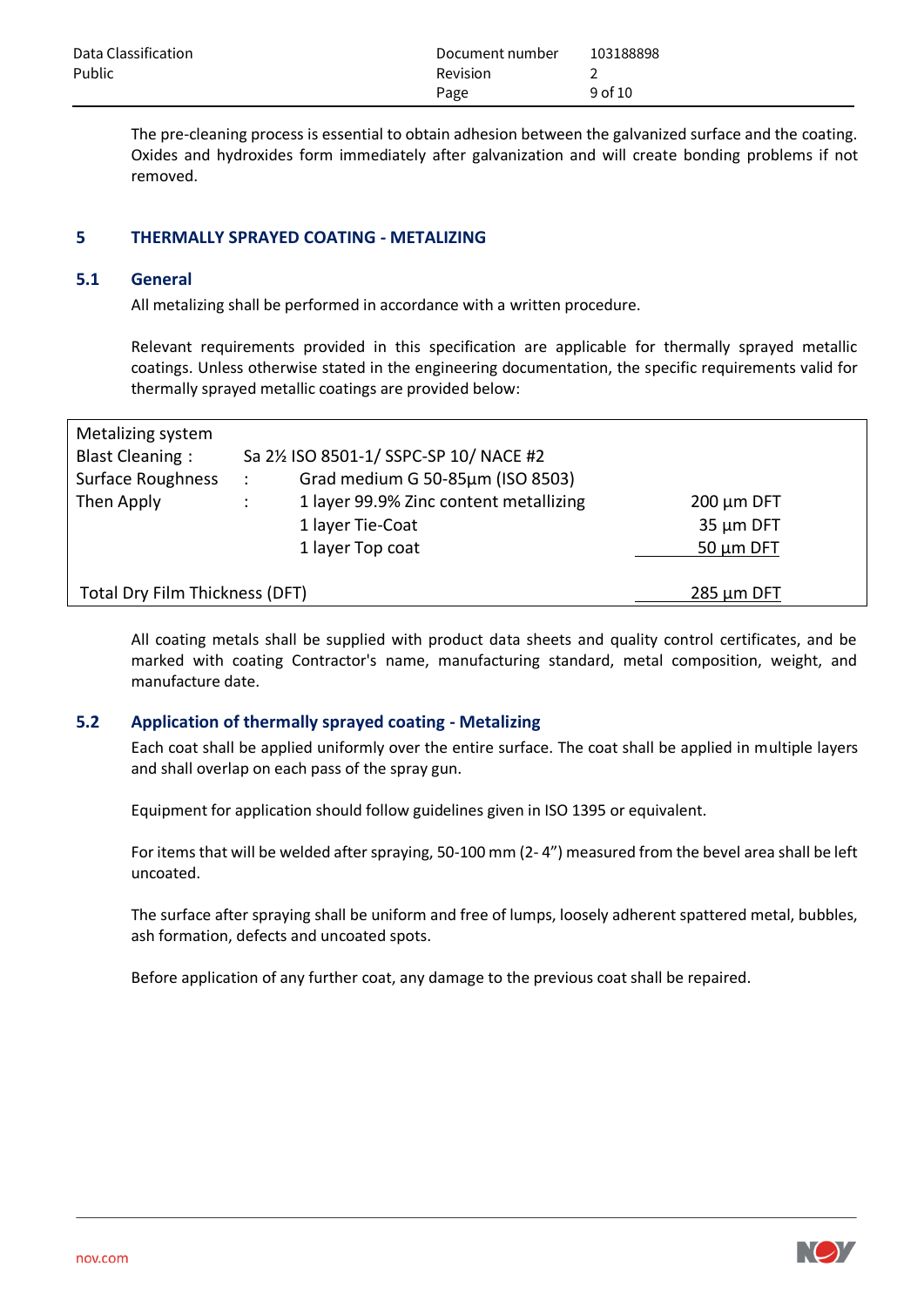| Data Classification | Document number | 103188898   |
|---------------------|-----------------|-------------|
| Public              | <b>Revision</b> |             |
|                     | Page            | $9$ of $10$ |

The pre-cleaning process is essential to obtain adhesion between the galvanized surface and the coating. Oxides and hydroxides form immediately after galvanization and will create bonding problems if not removed.

#### <span id="page-8-0"></span>**5 THERMALLY SPRAYED COATING - METALIZING**

#### <span id="page-8-1"></span>**5.1 General**

All metalizing shall be performed in accordance with a written procedure.

Relevant requirements provided in this specification are applicable for thermally sprayed metallic coatings. Unless otherwise stated in the engineering documentation, the specific requirements valid for thermally sprayed metallic coatings are provided below:

| Metalizing system                                        |                                       |                                        |                 |  |  |  |
|----------------------------------------------------------|---------------------------------------|----------------------------------------|-----------------|--|--|--|
| <b>Blast Cleaning:</b>                                   | Sa 21/2 ISO 8501-1/SSPC-SP 10/NACE #2 |                                        |                 |  |  |  |
| <b>Surface Roughness</b>                                 | $\cdot$ :                             | Grad medium G 50-85µm (ISO 8503)       |                 |  |  |  |
| Then Apply                                               |                                       | 1 layer 99.9% Zinc content metallizing | $200 \mu m$ DFT |  |  |  |
|                                                          |                                       | 1 layer Tie-Coat                       | 35 µm DFT       |  |  |  |
|                                                          |                                       | 1 layer Top coat                       | $50 \mu m$ DFT  |  |  |  |
|                                                          |                                       |                                        |                 |  |  |  |
| <b>Total Dry Film Thickness (DFT)</b><br>$285 \mu m$ DFT |                                       |                                        |                 |  |  |  |

All coating metals shall be supplied with product data sheets and quality control certificates, and be marked with coating Contractor's name, manufacturing standard, metal composition, weight, and manufacture date.

#### <span id="page-8-2"></span>**5.2 Application of thermally sprayed coating - Metalizing**

Each coat shall be applied uniformly over the entire surface. The coat shall be applied in multiple layers and shall overlap on each pass of the spray gun.

Equipment for application should follow guidelines given in ISO 1395 or equivalent.

For items that will be welded after spraying, 50-100 mm (2- 4") measured from the bevel area shall be left uncoated.

The surface after spraying shall be uniform and free of lumps, loosely adherent spattered metal, bubbles, ash formation, defects and uncoated spots.

Before application of any further coat, any damage to the previous coat shall be repaired.